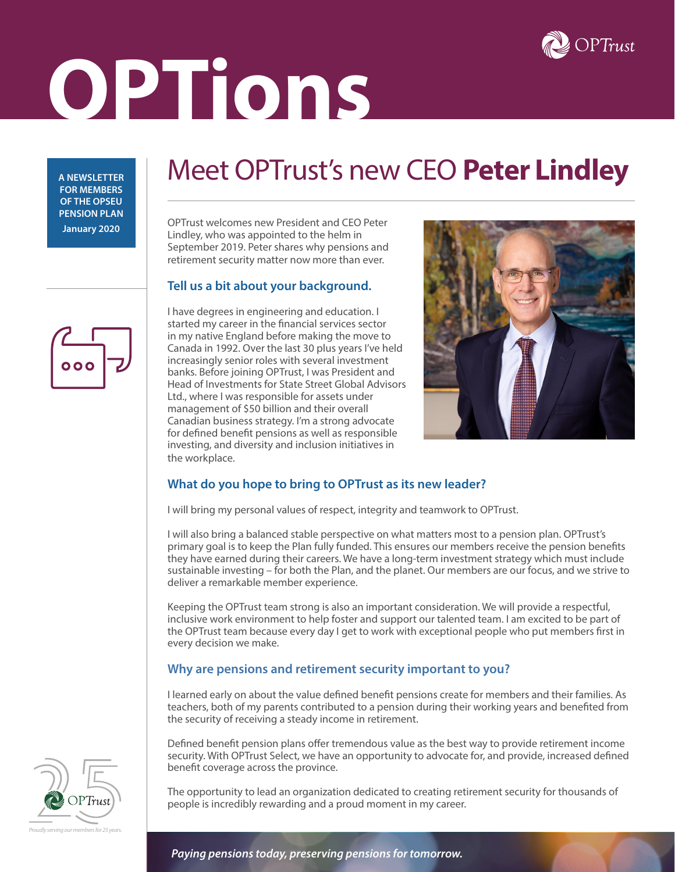

# **OPTions**

**A NEWSLETTER FOR MEMBERS OF THE OPSEU PENSION PLAN January 2020**

# Meet OPTrust's new CEO **Peter Lindley**

OPTrust welcomes new President and CEO Peter Lindley, who was appointed to the helm in September 2019. Peter shares why pensions and retirement security matter now more than ever.

## **Tell us a bit about your background.**

I have degrees in engineering and education. I started my career in the financial services sector in my native England before making the move to Canada in 1992. Over the last 30 plus years I've held increasingly senior roles with several investment banks. Before joining OPTrust, I was President and Head of Investments for State Street Global Advisors Ltd., where I was responsible for assets under management of \$50 billion and their overall Canadian business strategy. I'm a strong advocate for defined benefit pensions as well as responsible investing, and diversity and inclusion initiatives in the workplace.



# **What do you hope to bring to OPTrust as its new leader?**

I will bring my personal values of respect, integrity and teamwork to OPTrust.

I will also bring a balanced stable perspective on what matters most to a pension plan. OPTrust's primary goal is to keep the Plan fully funded. This ensures our members receive the pension benefits they have earned during their careers. We have a long-term investment strategy which must include sustainable investing – for both the Plan, and the planet. Our members are our focus, and we strive to deliver a remarkable member experience.

Keeping the OPTrust team strong is also an important consideration. We will provide a respectful, inclusive work environment to help foster and support our talented team. I am excited to be part of the OPTrust team because every day I get to work with exceptional people who put members first in every decision we make.

## **Why are pensions and retirement security important to you?**

I learned early on about the value defined benefit pensions create for members and their families. As teachers, both of my parents contributed to a pension during their working years and benefited from the security of receiving a steady income in retirement.

Defined benefit pension plans offer tremendous value as the best way to provide retirement income security. With OPTrust Select, we have an opportunity to advocate for, and provide, increased defined benefit coverage across the province.

The opportunity to lead an organization dedicated to creating retirement security for thousands of people is incredibly rewarding and a proud moment in my career.



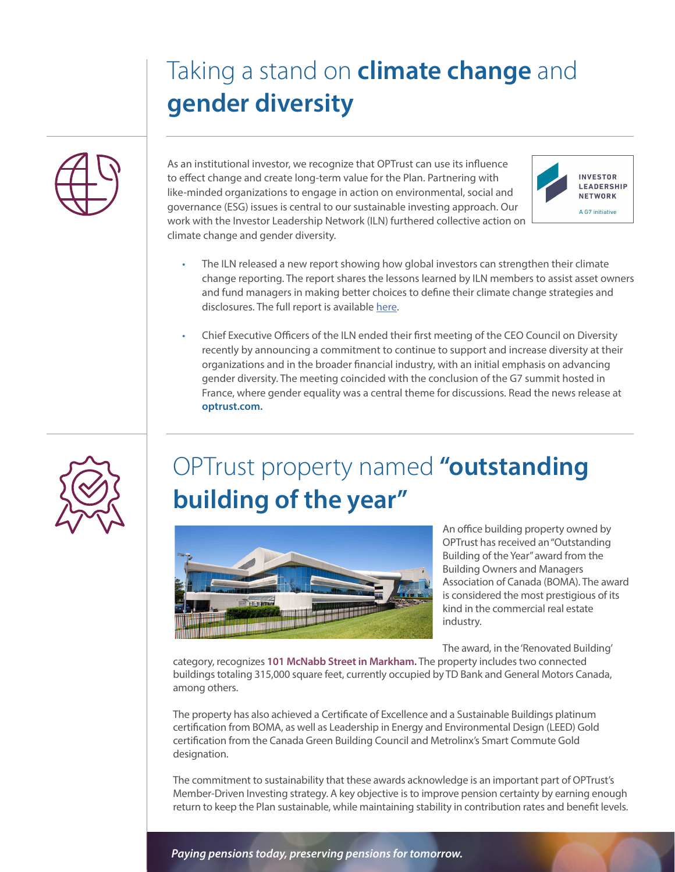# Taking a stand on **climate change** and **gender diversity**



As an institutional investor, we recognize that OPTrust can use its influence to effect change and create long-term value for the Plan. Partnering with like-minded organizations to engage in action on environmental, social and governance (ESG) issues is central to our sustainable investing approach. Our work with the Investor Leadership Network (ILN) furthered collective action on climate change and gender diversity.



- The ILN released a new report showing how global investors can strengthen their climate change reporting. The report shares the lessons learned by ILN members to assist asset owners and fund managers in making better choices to define their climate change strategies and disclosures. The full report is available [here](https://www.investorleadershipnetwork.org/en/investor-leadership-network-advocates-for-stronger-climate-change-disclosure/).
- Chief Executive Officers of the ILN ended their first meeting of the CEO Council on Diversity recently by announcing a commitment to continue to support and increase diversity at their organizations and in the broader financial industry, with an initial emphasis on advancing gender diversity. The meeting coincided with the conclusion of the G7 summit hosted in France, where gender equality was a central theme for discussions. Read the news release at **optrust.com.**



# OPTrust property named **"outstanding building of the year"**



An office building property owned by OPTrust has received an "Outstanding Building of the Year" award from the Building Owners and Managers Association of Canada (BOMA). The award is considered the most prestigious of its kind in the commercial real estate industry.

The award, in the 'Renovated Building'

category, recognizes **101 McNabb Street in Markham.** The property includes two connected buildings totaling 315,000 square feet, currently occupied by TD Bank and General Motors Canada, among others.

The property has also achieved a Certificate of Excellence and a Sustainable Buildings platinum certification from BOMA, as well as Leadership in Energy and Environmental Design (LEED) Gold certification from the Canada Green Building Council and Metrolinx's Smart Commute Gold designation.

The commitment to sustainability that these awards acknowledge is an important part of OPTrust's Member-Driven Investing strategy. A key objective is to improve pension certainty by earning enough return to keep the Plan sustainable, while maintaining stability in contribution rates and benefit levels.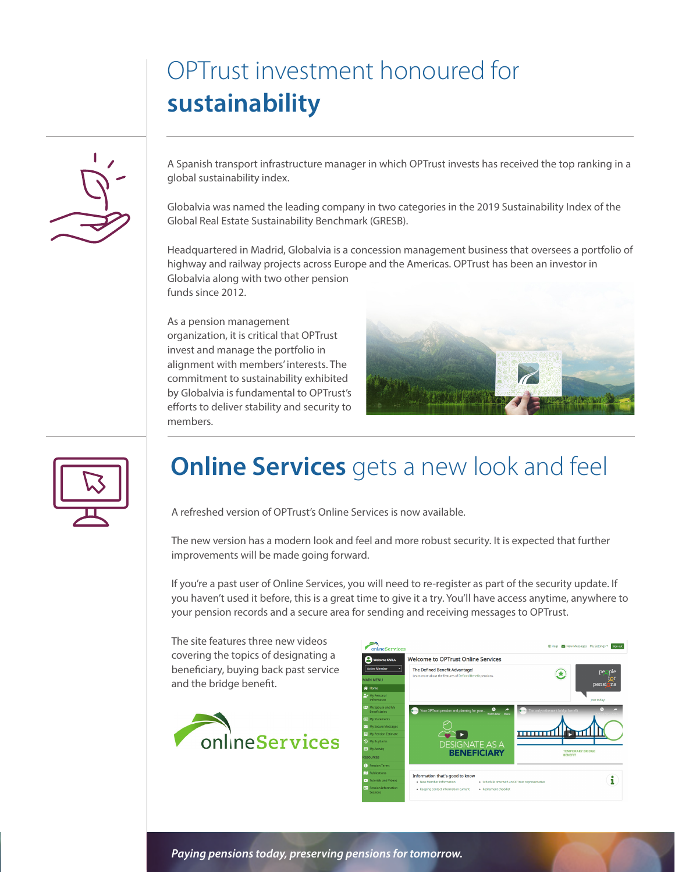# OPTrust investment honoured for **sustainability**



A Spanish transport infrastructure manager in which OPTrust invests has received the top ranking in a global sustainability index.

Globalvia was named the leading company in two categories in the 2019 Sustainability Index of the Global Real Estate Sustainability Benchmark (GRESB).

Headquartered in Madrid, Globalvia is a concession management business that oversees a portfolio of highway and railway projects across Europe and the Americas. OPTrust has been an investor in Globalvia along with two other pension funds since 2012.

As a pension management organization, it is critical that OPTrust invest and manage the portfolio in alignment with members' interests. The commitment to sustainability exhibited by Globalvia is fundamental to OPTrust's efforts to deliver stability and security to members.





# **Online Services** gets a new look and feel

A refreshed version of OPTrust's Online Services is now available.

The new version has a modern look and feel and more robust security. It is expected that further improvements will be made going forward.

If you're a past user of Online Services, you will need to re-register as part of the security update. If you haven't used it before, this is a great time to give it a try. You'll have access anytime, anywhere to your pension records and a secure area for sending and receiving messages to OPTrust.

The site features three new videos covering the topics of designating a beneficiary, buying back past service and the bridge benefit.